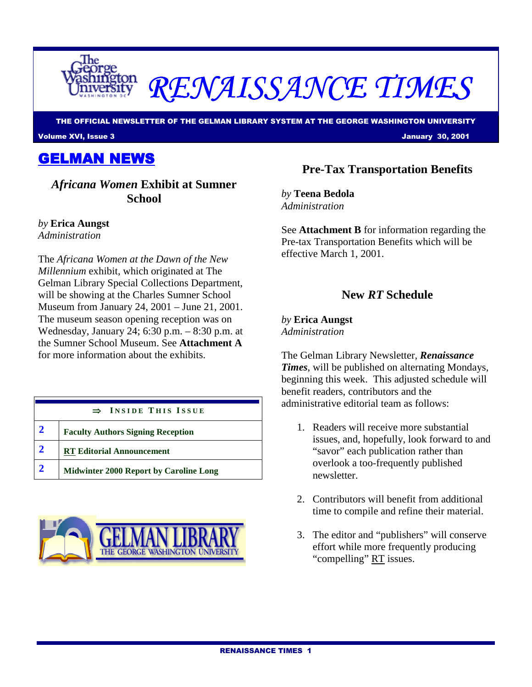

# RENAISSANCE TIMES

THE OFFICIAL NEWSLETTER OF THE GELMAN LIBRARY SYSTEM AT THE GEORGE WASHINGTON UNIVERSITY

Volume XVI, Issue 3 January 30, 2001

GELMAN NEWS

*Africana Women* **Exhibit at Sumner School**

*by* **Erica Aungst** 

*Administration* 

The *Africana Women at the Dawn of the New Millennium* exhibit, which originated at The Gelman Library Special Collections Department, will be showing at the Charles Sumner School Museum from January 24, 2001 – June 21, 2001. The museum season opening reception was on Wednesday, January 24; 6:30 p.m. – 8:30 p.m. at the Sumner School Museum. See **Attachment A** for more information about the exhibits.

| $\Rightarrow$ INSIDE THIS ISSUE               |  |
|-----------------------------------------------|--|
| <b>Faculty Authors Signing Reception</b>      |  |
| <b>RT Editorial Announcement</b>              |  |
| <b>Midwinter 2000 Report by Caroline Long</b> |  |



### **Pre-Tax Transportation Benefits**

*by* **Teena Bedola** *Administration* 

See **Attachment B** for information regarding the Pre-tax Transportation Benefits which will be effective March 1, 2001.

#### **New** *RT* **Schedule**

*by* **Erica Aungst** *Administration* 

The Gelman Library Newsletter, *Renaissance Times*, will be published on alternating Mondays, beginning this week. This adjusted schedule will benefit readers, contributors and the administrative editorial team as follows:

- 1. Readers will receive more substantial issues, and, hopefully, look forward to and "savor" each publication rather than overlook a too-frequently published newsletter.
- 2. Contributors will benefit from additional time to compile and refine their material.
- 3. The editor and "publishers" will conserve effort while more frequently producing "compelling" RT issues.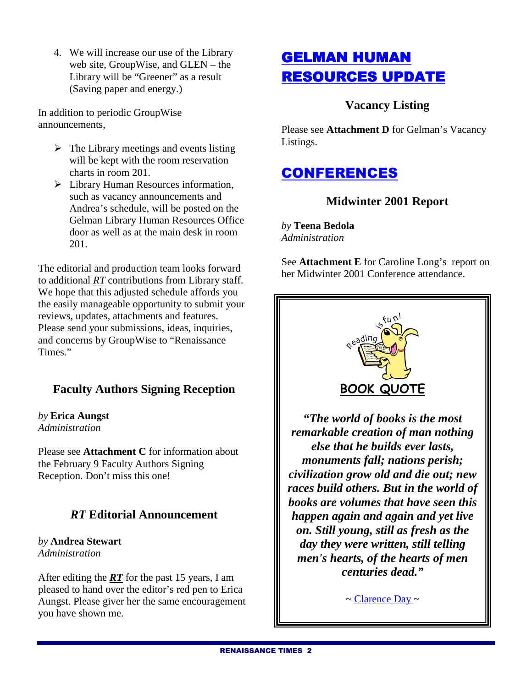4. We will increase our use of the Library web site, GroupWise, and GLEN – the Library will be "Greener" as a result (Saving paper and energy.)

In addition to periodic GroupWise announcements,

- $\triangleright$  The Library meetings and events listing will be kept with the room reservation charts in room 201.
- > Library Human Resources information, such as vacancy announcements and Andrea's schedule, will be posted on the Gelman Library Human Resources Office door as well as at the main desk in room 201.

The editorial and production team looks forward to additional *RT* contributions from Library staff. We hope that this adjusted schedule affords you the easily manageable opportunity to submit your reviews, updates, attachments and features. Please send your submissions, ideas, inquiries, and concerns by GroupWise to "Renaissance Times."

### **Faculty Authors Signing Reception**

*by* **Erica Aungst**  *Administration*

Please see **Attachment C** for information about the February 9 Faculty Authors Signing Reception. Don't miss this one!

#### *RT* **Editorial Announcement**

#### *by* **Andrea Stewart**  *Administration*

After editing the *RT* for the past 15 years, I am pleased to hand over the editor's red pen to Erica Aungst. Please giver her the same encouragement you have shown me.

## GELMAN HUMAN RESOURCES UPDATE

#### **Vacancy Listing**

Please see **Attachment D** for Gelman's Vacancy Listings.

## **CONFERENCES**

#### **Midwinter 2001 Report**

*by* **Teena Bedola**  *Administration*

See **Attachment E** for Caroline Long's report on her Midwinter 2001 Conference attendance.



*remarkable creation of man nothing else that he builds ever lasts, monuments fall; nations perish; civilization grow old and die out; new races build others. But in the world of books are volumes that have seen this happen again and again and yet live on. Still young, still as fresh as the day they were written, still telling men's hearts, of the hearts of men centuries dead."* 

 $\sim$  Clarence Day  $\sim$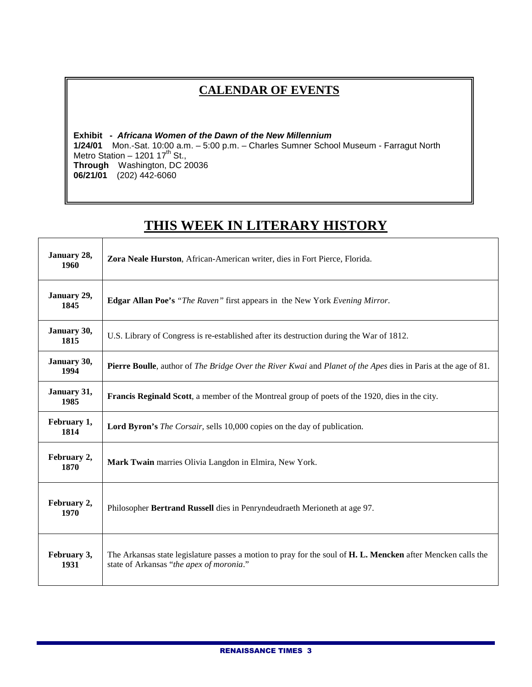## **CALENDAR OF EVENTS**

**Exhibit - Africana Women of the Dawn of the New Millennium 1/24/01** Mon.-Sat. 10:00 a.m. – 5:00 p.m. – Charles Sumner School Museum - Farragut North Metro Station  $-1201$  17<sup>th</sup> St., **Through** Washington, DC 20036 **06/21/01** (202) 442-6060

## **THIS WEEK IN LITERARY HISTORY**

Τ

| January 28,<br>1960 | Zora Neale Hurston, African-American writer, dies in Fort Pierce, Florida.                                                                               |  |
|---------------------|----------------------------------------------------------------------------------------------------------------------------------------------------------|--|
| January 29,<br>1845 | <b>Edgar Allan Poe's</b> "The Raven" first appears in the New York Evening Mirror.                                                                       |  |
| January 30,<br>1815 | U.S. Library of Congress is re-established after its destruction during the War of 1812.                                                                 |  |
| January 30,<br>1994 | <b>Pierre Boulle</b> , author of <i>The Bridge Over the River Kwai</i> and <i>Planet of the Apes</i> dies in Paris at the age of 81.                     |  |
| January 31,<br>1985 | <b>Francis Reginald Scott</b> , a member of the Montreal group of poets of the 1920, dies in the city.                                                   |  |
| February 1,<br>1814 | <b>Lord Byron's</b> <i>The Corsair</i> , sells 10,000 copies on the day of publication.                                                                  |  |
| February 2,<br>1870 | Mark Twain marries Olivia Langdon in Elmira, New York.                                                                                                   |  |
| February 2,<br>1970 | Philosopher Bertrand Russell dies in Penryndeudraeth Merioneth at age 97.                                                                                |  |
| February 3,<br>1931 | The Arkansas state legislature passes a motion to pray for the soul of H. L. Mencken after Mencken calls the<br>state of Arkansas "the apex of moronia." |  |